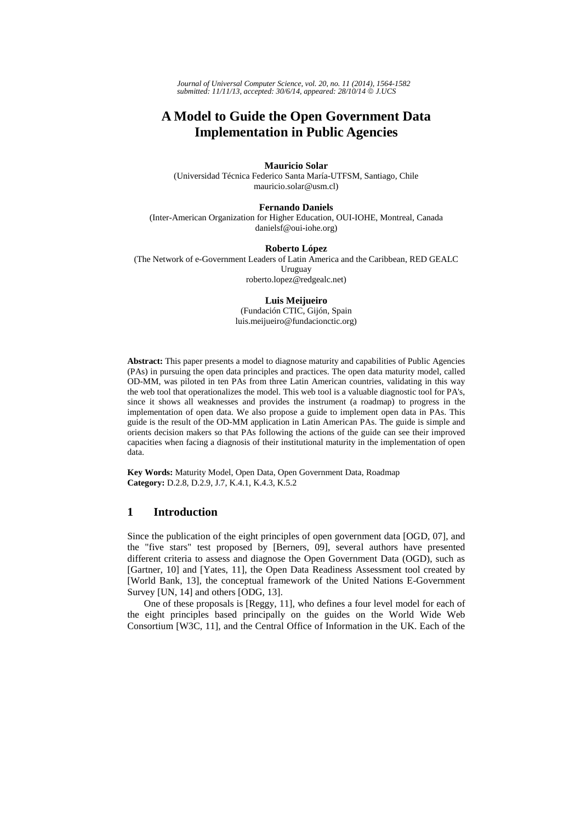*Journal of Universal Computer Science, vol. 20, no. 11 (2014), 1564-1582 submitted: 11/11/13, accepted: 30/6/14, appeared: 28/10/14* © *J.UCS*

# **A Model to Guide the Open Government Data Implementation in Public Agencies**

#### **Mauricio Solar**

(Universidad Técnica Federico Santa María-UTFSM, Santiago, Chile mauricio.solar@usm.cl)

### **Fernando Daniels**

(Inter-American Organization for Higher Education, OUI-IOHE, Montreal, Canada danielsf@oui-iohe.org)

#### **Roberto López**

(The Network of e-Government Leaders of Latin America and the Caribbean, RED GEALC Uruguay roberto.lopez@redgealc.net)

#### **Luis Meijueiro**

(Fundación CTIC, Gijón, Spain luis.meijueiro@fundacionctic.org)

**Abstract:** This paper presents a model to diagnose maturity and capabilities of Public Agencies (PAs) in pursuing the open data principles and practices. The open data maturity model, called OD-MM, was piloted in ten PAs from three Latin American countries, validating in this way the web tool that operationalizes the model. This web tool is a valuable diagnostic tool for PA's, since it shows all weaknesses and provides the instrument (a roadmap) to progress in the implementation of open data. We also propose a guide to implement open data in PAs. This guide is the result of the OD-MM application in Latin American PAs. The guide is simple and orients decision makers so that PAs following the actions of the guide can see their improved capacities when facing a diagnosis of their institutional maturity in the implementation of open data.

**Key Words:** Maturity Model, Open Data, Open Government Data, Roadmap **Category:** D.2.8, D.2.9, J.7, K.4.1, K.4.3, K.5.2

## **1 Introduction**

Since the publication of the eight principles of open government data [OGD, 07], and the "five stars" test proposed by [Berners, 09], several authors have presented different criteria to assess and diagnose the Open Government Data (OGD), such as [Gartner, 10] and [Yates, 11], the Open Data Readiness Assessment tool created by [World Bank, 13], the conceptual framework of the United Nations E-Government Survey [UN, 14] and others [ODG, 13].

One of these proposals is [Reggy, 11], who defines a four level model for each of the eight principles based principally on the guides on the World Wide Web Consortium [W3C, 11], and the Central Office of Information in the UK. Each of the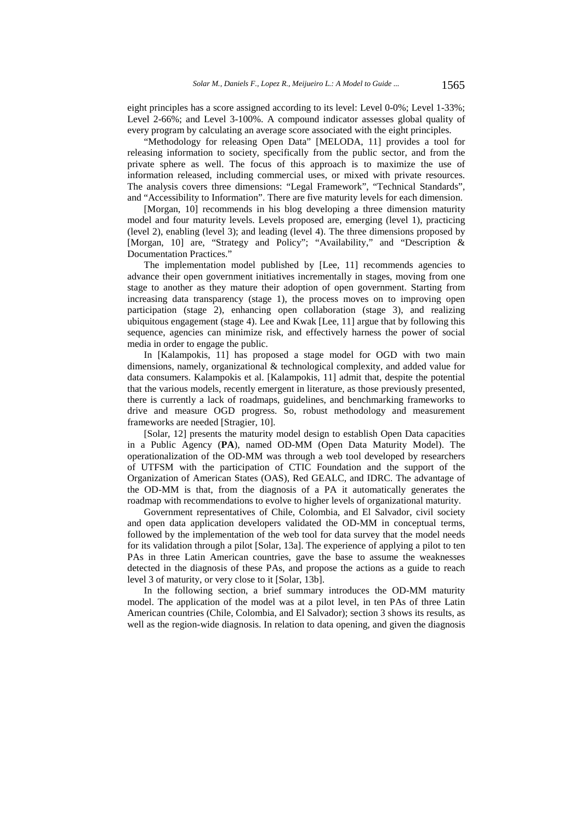eight principles has a score assigned according to its level: Level 0-0%; Level 1-33%; Level 2-66%; and Level 3-100%. A compound indicator assesses global quality of every program by calculating an average score associated with the eight principles.

"Methodology for releasing Open Data" [MELODA, 11] provides a tool for releasing information to society, specifically from the public sector, and from the private sphere as well. The focus of this approach is to maximize the use of information released, including commercial uses, or mixed with private resources. The analysis covers three dimensions: "Legal Framework", "Technical Standards", and "Accessibility to Information". There are five maturity levels for each dimension.

[Morgan, 10] recommends in his blog developing a three dimension maturity model and four maturity levels. Levels proposed are, emerging (level 1), practicing (level 2), enabling (level 3); and leading (level 4). The three dimensions proposed by [Morgan, 10] are, "Strategy and Policy"; "Availability," and "Description & Documentation Practices."

The implementation model published by [Lee, 11] recommends agencies to advance their open government initiatives incrementally in stages, moving from one stage to another as they mature their adoption of open government. Starting from increasing data transparency (stage 1), the process moves on to improving open participation (stage 2), enhancing open collaboration (stage 3), and realizing ubiquitous engagement (stage 4). Lee and Kwak [Lee, 11] argue that by following this sequence, agencies can minimize risk, and effectively harness the power of social media in order to engage the public.

In [Kalampokis, 11] has proposed a stage model for OGD with two main dimensions, namely, organizational & technological complexity, and added value for data consumers. Kalampokis et al. [Kalampokis, 11] admit that, despite the potential that the various models, recently emergent in literature, as those previously presented, there is currently a lack of roadmaps, guidelines, and benchmarking frameworks to drive and measure OGD progress. So, robust methodology and measurement frameworks are needed [Stragier, 10].

[Solar, 12] presents the maturity model design to establish Open Data capacities in a Public Agency (**PA**), named OD-MM (Open Data Maturity Model). The operationalization of the OD-MM was through a web tool developed by researchers of UTFSM with the participation of CTIC Foundation and the support of the Organization of American States (OAS), Red GEALC, and IDRC. The advantage of the OD-MM is that, from the diagnosis of a PA it automatically generates the roadmap with recommendations to evolve to higher levels of organizational maturity.

Government representatives of Chile, Colombia, and El Salvador, civil society and open data application developers validated the OD-MM in conceptual terms, followed by the implementation of the web tool for data survey that the model needs for its validation through a pilot [Solar, 13a]. The experience of applying a pilot to ten PAs in three Latin American countries, gave the base to assume the weaknesses detected in the diagnosis of these PAs, and propose the actions as a guide to reach level 3 of maturity, or very close to it [Solar, 13b].

In the following section, a brief summary introduces the OD-MM maturity model. The application of the model was at a pilot level, in ten PAs of three Latin American countries (Chile, Colombia, and El Salvador); section 3 shows its results, as well as the region-wide diagnosis. In relation to data opening, and given the diagnosis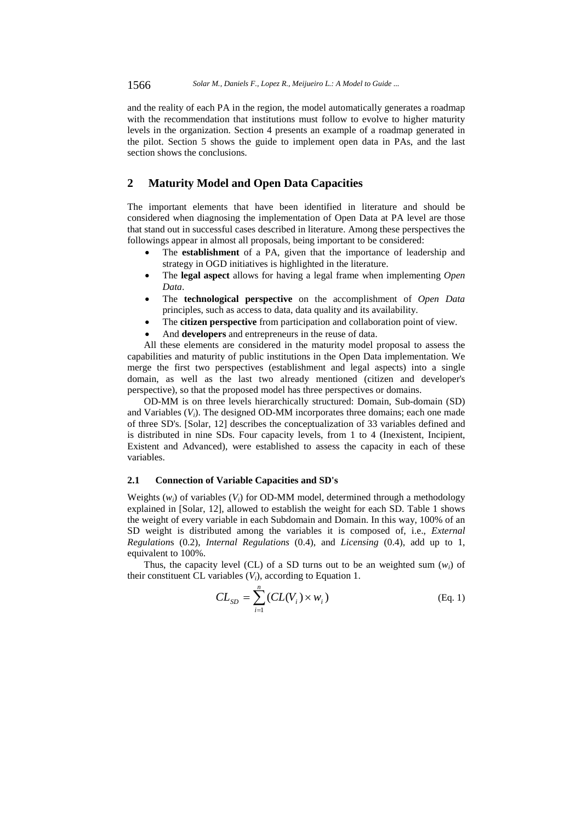and the reality of each PA in the region, the model automatically generates a roadmap with the recommendation that institutions must follow to evolve to higher maturity levels in the organization. Section 4 presents an example of a roadmap generated in the pilot. Section 5 shows the guide to implement open data in PAs, and the last section shows the conclusions.

## **2 Maturity Model and Open Data Capacities**

The important elements that have been identified in literature and should be considered when diagnosing the implementation of Open Data at PA level are those that stand out in successful cases described in literature. Among these perspectives the followings appear in almost all proposals, being important to be considered:

- The **establishment** of a PA, given that the importance of leadership and strategy in OGD initiatives is highlighted in the literature.
- The **legal aspect** allows for having a legal frame when implementing *Open Data*.
- The **technological perspective** on the accomplishment of *Open Data* principles, such as access to data, data quality and its availability.
- The **citizen perspective** from participation and collaboration point of view.
- And **developers** and entrepreneurs in the reuse of data.

All these elements are considered in the maturity model proposal to assess the capabilities and maturity of public institutions in the Open Data implementation. We merge the first two perspectives (establishment and legal aspects) into a single domain, as well as the last two already mentioned (citizen and developer's perspective), so that the proposed model has three perspectives or domains.

OD-MM is on three levels hierarchically structured: Domain, Sub-domain (SD) and Variables (*Vi*). The designed OD-MM incorporates three domains; each one made of three SD's. [Solar, 12] describes the conceptualization of 33 variables defined and is distributed in nine SDs. Four capacity levels, from 1 to 4 (Inexistent, Incipient, Existent and Advanced), were established to assess the capacity in each of these variables.

### **2.1 Connection of Variable Capacities and SD's**

Weights (*wi*) of variables (*Vi*) for OD-MM model, determined through a methodology explained in [Solar, 12], allowed to establish the weight for each SD. Table 1 shows the weight of every variable in each Subdomain and Domain. In this way, 100% of an SD weight is distributed among the variables it is composed of, i.e., *External Regulation*s (0.2), *Internal Regulations* (0.4), and *Licensing* (0.4), add up to 1, equivalent to 100%.

Thus, the capacity level (CL) of a SD turns out to be an weighted sum  $(w_i)$  of their constituent CL variables (*Vi*), according to Equation 1.

$$
CL_{SD} = \sum_{i=1}^{n} (CL(V_i) \times w_i)
$$
 (Eq. 1)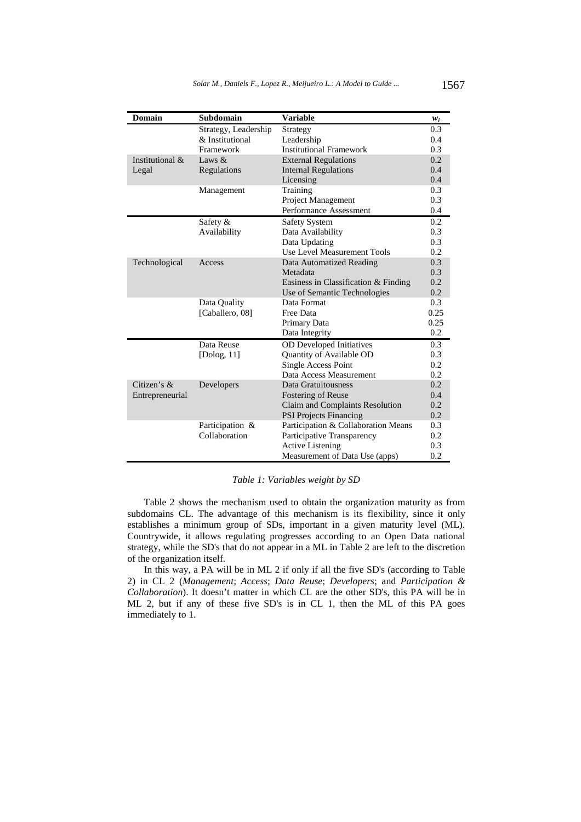| <b>Domain</b>   | Subdomain            | <b>Variable</b>                        | $W_i$ |
|-----------------|----------------------|----------------------------------------|-------|
|                 | Strategy, Leadership | Strategy                               | 0.3   |
|                 | & Institutional      | Leadership                             | 0.4   |
|                 | Framework            | <b>Institutional Framework</b>         | 0.3   |
| Institutional & | Laws $&$             | <b>External Regulations</b>            | 0.2   |
| Legal           | Regulations          | <b>Internal Regulations</b>            | 0.4   |
|                 |                      | Licensing                              | 0.4   |
|                 | Management           | Training                               | 0.3   |
|                 |                      | Project Management                     | 0.3   |
|                 |                      | Performance Assessment                 | 0.4   |
|                 | Safety &             | <b>Safety System</b>                   | 0.2   |
|                 | Availability         | Data Availability                      | 0.3   |
|                 |                      | Data Updating                          | 0.3   |
|                 |                      | Use Level Measurement Tools            | 0.2   |
| Technological   | Access               | <b>Data Automatized Reading</b>        | 0.3   |
|                 |                      | Metadata                               | 0.3   |
|                 |                      | Easiness in Classification $&$ Finding | 0.2   |
|                 |                      | Use of Semantic Technologies           | 0.2   |
|                 | Data Quality         | Data Format                            | 0.3   |
|                 | [Caballero, 08]      | Free Data                              | 0.25  |
|                 |                      | Primary Data                           | 0.25  |
|                 |                      | Data Integrity                         | 0.2   |
|                 | Data Reuse           | <b>OD</b> Developed Initiatives        | 0.3   |
|                 | [ $Dolog, 11$ ]      | Quantity of Available OD               | 0.3   |
|                 |                      | Single Access Point                    | 0.2   |
|                 |                      | Data Access Measurement                | 0.2   |
| Citizen's &     | Developers           | Data Gratuitousness                    | 0.2   |
| Entrepreneurial |                      | <b>Fostering of Reuse</b>              | 0.4   |
|                 |                      | Claim and Complaints Resolution        | 0.2   |
|                 |                      | <b>PSI Projects Financing</b>          | 0.2   |
|                 | Participation &      | Participation & Collaboration Means    | 0.3   |
|                 | Collaboration        | Participative Transparency             | 0.2   |
|                 |                      | <b>Active Listening</b>                | 0.3   |
|                 |                      | Measurement of Data Use (apps)         | 0.2   |

## *Table 1: Variables weight by SD*

Table 2 shows the mechanism used to obtain the organization maturity as from subdomains CL. The advantage of this mechanism is its flexibility, since it only establishes a minimum group of SDs, important in a given maturity level (ML). Countrywide, it allows regulating progresses according to an Open Data national strategy, while the SD's that do not appear in a ML in Table 2 are left to the discretion of the organization itself.

In this way, a PA will be in ML 2 if only if all the five SD's (according to Table 2) in CL 2 (*Management*; *Access*; *Data Reuse*; *Developers*; and *Participation & Collaboration*). It doesn't matter in which CL are the other SD's, this PA will be in ML 2, but if any of these five SD's is in CL 1, then the ML of this PA goes immediately to 1.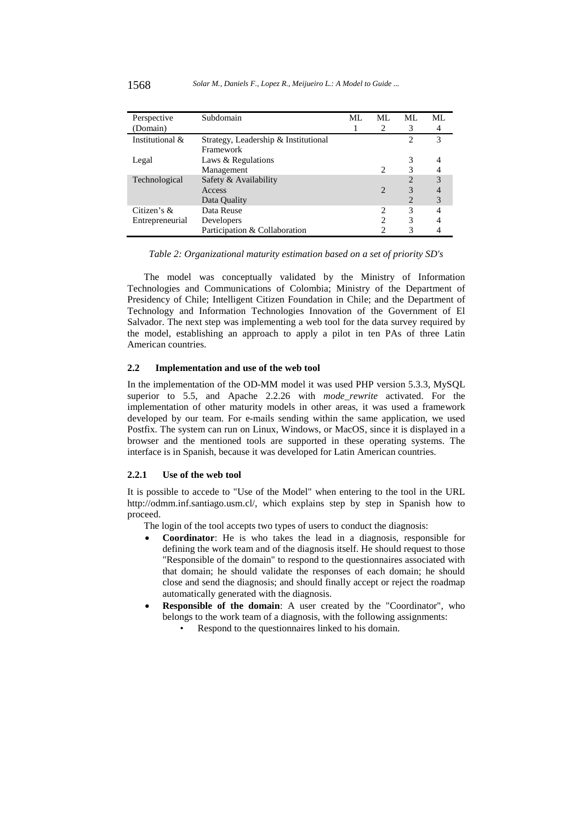| Perspective     | Subdomain                            | MI. | ML             | ML | ML |
|-----------------|--------------------------------------|-----|----------------|----|----|
| (Domain)        |                                      |     | 2              |    | 4  |
| Institutional & | Strategy, Leadership & Institutional |     |                | 2  | 3  |
|                 | Framework                            |     |                |    |    |
| Legal           | Laws & Regulations                   |     |                |    |    |
|                 | Management                           |     |                |    |    |
| Technological   | Safety & Availability                |     |                |    | 3  |
|                 | Access                               |     | $\overline{2}$ |    |    |
|                 | Data Quality                         |     |                |    | 3  |
| Citizen's $\&$  | Data Reuse                           |     | 2              |    | 4  |
| Entrepreneurial | Developers                           |     | 2              | 3  |    |
|                 | Participation & Collaboration        |     |                |    |    |

### *Table 2: Organizational maturity estimation based on a set of priority SD's*

The model was conceptually validated by the Ministry of Information Technologies and Communications of Colombia; Ministry of the Department of Presidency of Chile; Intelligent Citizen Foundation in Chile; and the Department of Technology and Information Technologies Innovation of the Government of El Salvador. The next step was implementing a web tool for the data survey required by the model, establishing an approach to apply a pilot in ten PAs of three Latin American countries.

## **2.2 Implementation and use of the web tool**

In the implementation of the OD-MM model it was used PHP version 5.3.3, MySQL superior to 5.5, and Apache 2.2.26 with *mode\_rewrite* activated. For the implementation of other maturity models in other areas, it was used a framework developed by our team. For e-mails sending within the same application, we used Postfix. The system can run on Linux, Windows, or MacOS, since it is displayed in a browser and the mentioned tools are supported in these operating systems. The interface is in Spanish, because it was developed for Latin American countries.

#### **2.2.1 Use of the web tool**

It is possible to accede to "Use of the Model" when entering to the tool in the URL http://odmm.inf.santiago.usm.cl/, which explains step by step in Spanish how to proceed.

The login of the tool accepts two types of users to conduct the diagnosis:

- **Coordinator**: He is who takes the lead in a diagnosis, responsible for defining the work team and of the diagnosis itself. He should request to those "Responsible of the domain" to respond to the questionnaires associated with that domain; he should validate the responses of each domain; he should close and send the diagnosis; and should finally accept or reject the roadmap automatically generated with the diagnosis.
- **Responsible of the domain**: A user created by the "Coordinator", who belongs to the work team of a diagnosis, with the following assignments:
	- Respond to the questionnaires linked to his domain.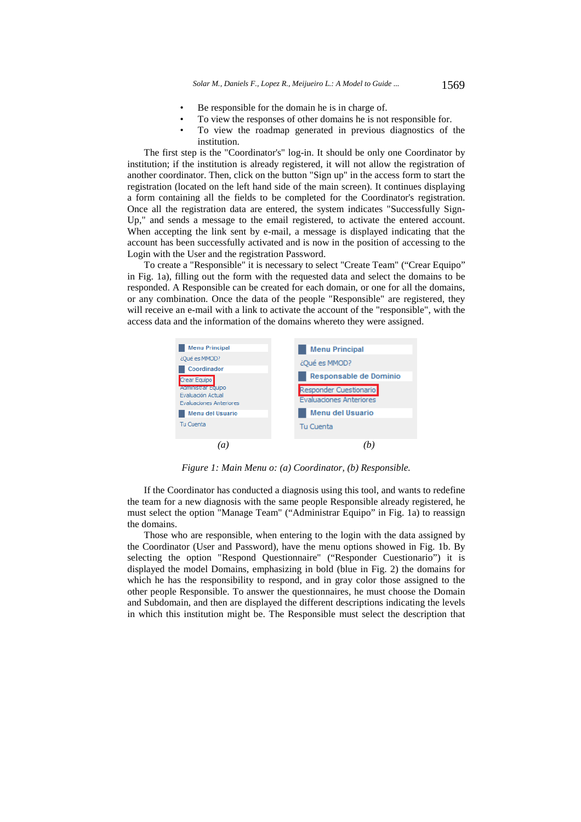- Be responsible for the domain he is in charge of.
- To view the responses of other domains he is not responsible for.
- To view the roadmap generated in previous diagnostics of the institution.

The first step is the "Coordinator's" log-in. It should be only one Coordinator by institution; if the institution is already registered, it will not allow the registration of another coordinator. Then, click on the button "Sign up" in the access form to start the registration (located on the left hand side of the main screen). It continues displaying a form containing all the fields to be completed for the Coordinator's registration. Once all the registration data are entered, the system indicates "Successfully Sign-Up," and sends a message to the email registered, to activate the entered account. When accepting the link sent by e-mail, a message is displayed indicating that the account has been successfully activated and is now in the position of accessing to the Login with the User and the registration Password.

To create a "Responsible" it is necessary to select "Create Team" ("Crear Equipo" in Fig. 1a), filling out the form with the requested data and select the domains to be responded. A Responsible can be created for each domain, or one for all the domains, or any combination. Once the data of the people "Responsible" are registered, they will receive an e-mail with a link to activate the account of the "responsible", with the access data and the information of the domains whereto they were assigned.



*Figure 1: Main Menu o: (a) Coordinator, (b) Responsible.* 

If the Coordinator has conducted a diagnosis using this tool, and wants to redefine the team for a new diagnosis with the same people Responsible already registered, he must select the option "Manage Team" ("Administrar Equipo" in Fig. 1a) to reassign the domains.

Those who are responsible, when entering to the login with the data assigned by the Coordinator (User and Password), have the menu options showed in Fig. 1b. By selecting the option "Respond Questionnaire" ("Responder Cuestionario") it is displayed the model Domains, emphasizing in bold (blue in Fig. 2) the domains for which he has the responsibility to respond, and in gray color those assigned to the other people Responsible. To answer the questionnaires, he must choose the Domain and Subdomain, and then are displayed the different descriptions indicating the levels in which this institution might be. The Responsible must select the description that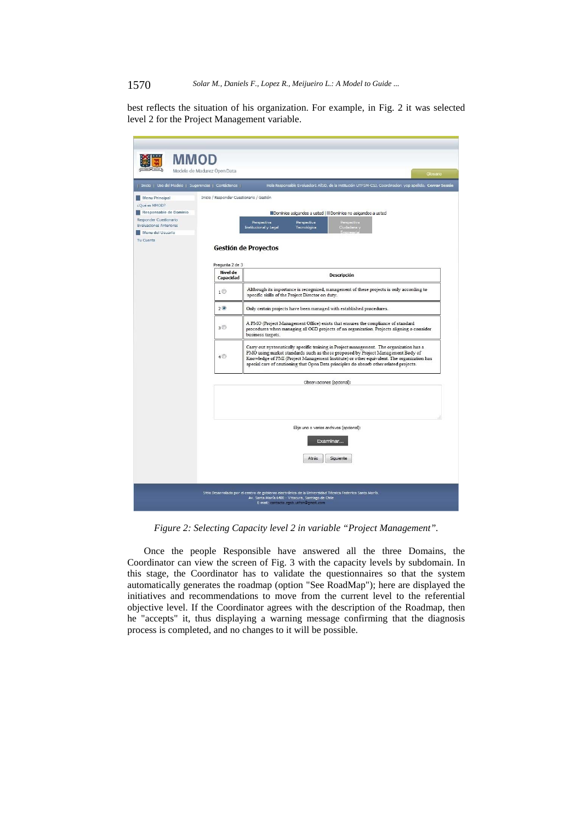## 1570 *Solar M., Daniels F., Lopez R., Meijueiro L.: A Model to Guide ...*

best reflects the situation of his organization. For example, in Fig. 2 it was selected level 2 for the Project Management variable.

| Inicio   Uso del Modelo   Sugerencias   Contáctenos                                                            |                                                                                                                                                                                                                                                                                                                 | Hola Responsable Evaluador1 AllSD, de la institución UTFSM-CSJ, Coordinador: yop apellido, Cerrar Sesión                                                                                                                                                                                                                                                           |  |  |  |
|----------------------------------------------------------------------------------------------------------------|-----------------------------------------------------------------------------------------------------------------------------------------------------------------------------------------------------------------------------------------------------------------------------------------------------------------|--------------------------------------------------------------------------------------------------------------------------------------------------------------------------------------------------------------------------------------------------------------------------------------------------------------------------------------------------------------------|--|--|--|
| Menu Principal<br>¿Qué es MMOD?<br>Responsable de Dominio<br>Responder Cuestionario<br>Evaluaciones Anteriores | Inicio / Responder Cuestionario / Gestión                                                                                                                                                                                                                                                                       | Dominios asigandos a usted   Dominios no asigandos a usted<br>Perspectiva<br>Ciudadana<br>Perspectiva<br>Perspectiva<br>Tecnológica<br><b>Institucional y Legal</b>                                                                                                                                                                                                |  |  |  |
| Menu del Usuario<br>Tu Cuenta                                                                                  |                                                                                                                                                                                                                                                                                                                 | siuuauana.<br>Fourism<br><b>Gestión de Proyectos</b>                                                                                                                                                                                                                                                                                                               |  |  |  |
|                                                                                                                | Pregunta 2 de 3<br><b>Nivel de</b><br>Capacidad                                                                                                                                                                                                                                                                 | <b>Descripción</b>                                                                                                                                                                                                                                                                                                                                                 |  |  |  |
|                                                                                                                | Although its importance is recognized, management of these projects is only according to<br>1 <sup>°</sup><br>specific skills of the Project Director on duty.                                                                                                                                                  |                                                                                                                                                                                                                                                                                                                                                                    |  |  |  |
|                                                                                                                | 2 <sup>o</sup><br>Only certain projects have been managed with established procedures.<br>A PMO (Project Management Office) exists that ensures the compliance of standard<br>3 <sup>°</sup><br>procedures when managing all OGD projects of an organization. Projects aligning o consider<br>business targets. |                                                                                                                                                                                                                                                                                                                                                                    |  |  |  |
|                                                                                                                |                                                                                                                                                                                                                                                                                                                 |                                                                                                                                                                                                                                                                                                                                                                    |  |  |  |
|                                                                                                                | 4 <sup>°</sup>                                                                                                                                                                                                                                                                                                  | Carry out systematically specific training in Project management. The organization has a<br>PMO using market standards such as those proposed by Project Management Body of<br>Knowledge of PMI (Project Management Institute) or other equivalent. The organization has<br>special care of cautioning that Open Data principles do absorb other related projects. |  |  |  |
|                                                                                                                |                                                                                                                                                                                                                                                                                                                 | Observaciones (opcional):                                                                                                                                                                                                                                                                                                                                          |  |  |  |
|                                                                                                                |                                                                                                                                                                                                                                                                                                                 |                                                                                                                                                                                                                                                                                                                                                                    |  |  |  |
|                                                                                                                |                                                                                                                                                                                                                                                                                                                 | Elija uno o varios archivos (opcional):<br>Examinar                                                                                                                                                                                                                                                                                                                |  |  |  |
|                                                                                                                |                                                                                                                                                                                                                                                                                                                 | Atrás<br>Siguiente                                                                                                                                                                                                                                                                                                                                                 |  |  |  |

*Figure 2: Selecting Capacity level 2 in variable "Project Management".* 

Once the people Responsible have answered all the three Domains, the Coordinator can view the screen of Fig. 3 with the capacity levels by subdomain. In this stage, the Coordinator has to validate the questionnaires so that the system automatically generates the roadmap (option "See RoadMap"); here are displayed the initiatives and recommendations to move from the current level to the referential objective level. If the Coordinator agrees with the description of the Roadmap, then he "accepts" it, thus displaying a warning message confirming that the diagnosis process is completed, and no changes to it will be possible.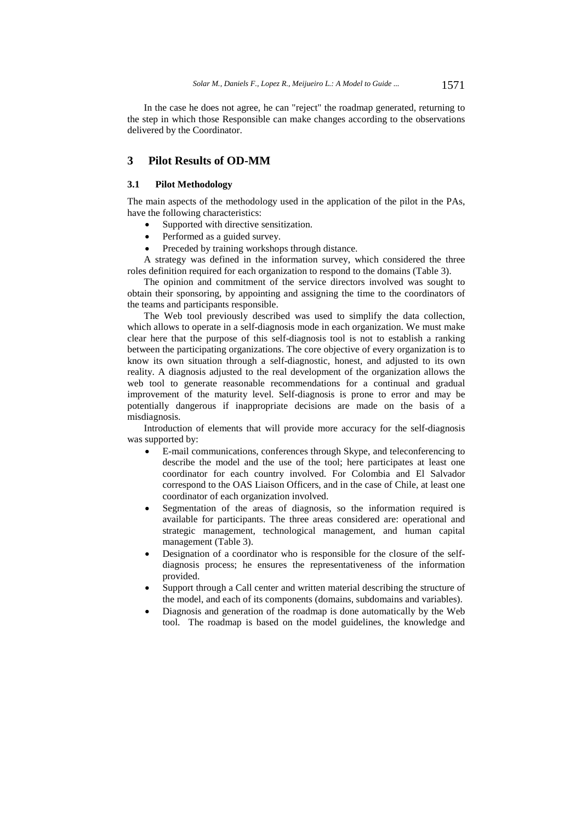In the case he does not agree, he can "reject" the roadmap generated, returning to the step in which those Responsible can make changes according to the observations delivered by the Coordinator.

## **3 Pilot Results of OD-MM**

### **3.1 Pilot Methodology**

The main aspects of the methodology used in the application of the pilot in the PAs, have the following characteristics:

- Supported with directive sensitization.
- Performed as a guided survey.
- Preceded by training workshops through distance.

A strategy was defined in the information survey, which considered the three roles definition required for each organization to respond to the domains (Table 3).

The opinion and commitment of the service directors involved was sought to obtain their sponsoring, by appointing and assigning the time to the coordinators of the teams and participants responsible.

The Web tool previously described was used to simplify the data collection, which allows to operate in a self-diagnosis mode in each organization. We must make clear here that the purpose of this self-diagnosis tool is not to establish a ranking between the participating organizations. The core objective of every organization is to know its own situation through a self-diagnostic, honest, and adjusted to its own reality. A diagnosis adjusted to the real development of the organization allows the web tool to generate reasonable recommendations for a continual and gradual improvement of the maturity level. Self-diagnosis is prone to error and may be potentially dangerous if inappropriate decisions are made on the basis of a misdiagnosis.

Introduction of elements that will provide more accuracy for the self-diagnosis was supported by:

- E-mail communications, conferences through Skype, and teleconferencing to describe the model and the use of the tool; here participates at least one coordinator for each country involved. For Colombia and El Salvador correspond to the OAS Liaison Officers, and in the case of Chile, at least one coordinator of each organization involved.
- Segmentation of the areas of diagnosis, so the information required is available for participants. The three areas considered are: operational and strategic management, technological management, and human capital management (Table 3).
- Designation of a coordinator who is responsible for the closure of the selfdiagnosis process; he ensures the representativeness of the information provided.
- Support through a Call center and written material describing the structure of the model, and each of its components (domains, subdomains and variables).
- Diagnosis and generation of the roadmap is done automatically by the Web tool. The roadmap is based on the model guidelines, the knowledge and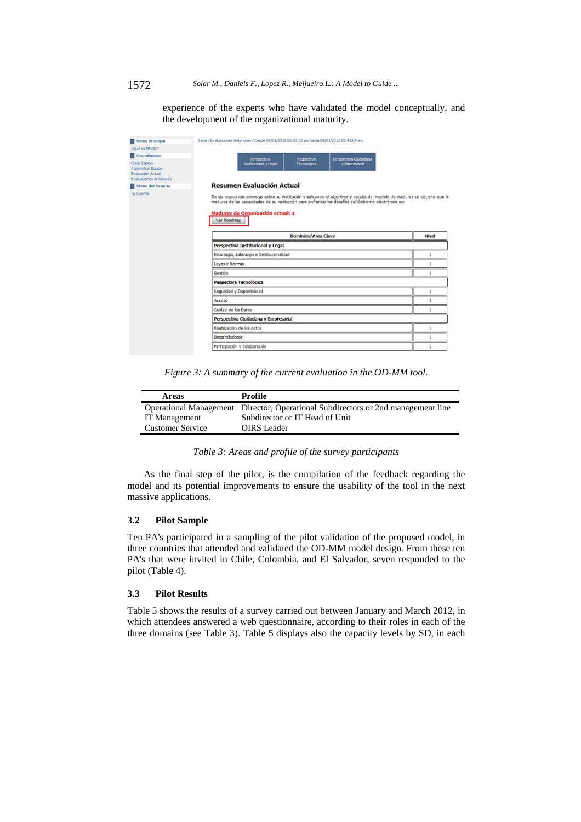experience of the experts who have validated the model conceptually, and the development of the organizational maturity.

| <b>Menu Principal</b>                                                              | Inicio / Evaluaciones Anteriores / Desde 06/01/2012 08:53:52 pm hasta 09/01/2012 02:41:07 am                                                                                                                                                                                             |       |
|------------------------------------------------------------------------------------|------------------------------------------------------------------------------------------------------------------------------------------------------------------------------------------------------------------------------------------------------------------------------------------|-------|
| (Qué es MMOD?                                                                      |                                                                                                                                                                                                                                                                                          |       |
| Coordinador                                                                        | Perspectiva Cudadana<br>Perspectiva<br>Pespectiva                                                                                                                                                                                                                                        |       |
| Crear Equipo<br>Administrar Equipo<br>Evaluación Actual<br>Evaluaciones Anteriores | y Empresarial<br>Institucional v Legal<br>Tecnológica                                                                                                                                                                                                                                    |       |
| Menu del Usuario                                                                   | Resumen Evaluación Actual                                                                                                                                                                                                                                                                |       |
| <b>Tu Cuenta</b>                                                                   | De las respuestas provistas sobre su institución y aplicando el algoritmo y escalas del modelo de madurez se obtiene que la<br>madurez de las capacidades de su institución para enfrentar los desafíos del Gobierno electrónico es:<br>Madurez de Organización actual: 1<br>Ver Roadmap |       |
|                                                                                    | Dominios/Area Clave                                                                                                                                                                                                                                                                      | Nivel |
|                                                                                    | Perspectiva Institucional y Legal                                                                                                                                                                                                                                                        |       |
|                                                                                    | Estrategia, Liderazgo e Institucionalidad                                                                                                                                                                                                                                                | ı     |
|                                                                                    | Leyes y Normas                                                                                                                                                                                                                                                                           |       |
|                                                                                    | Gestión                                                                                                                                                                                                                                                                                  | 1     |
|                                                                                    | Pespectiva Tecnológica                                                                                                                                                                                                                                                                   |       |
|                                                                                    | Seguridad y Disponibilidad                                                                                                                                                                                                                                                               | ı     |
|                                                                                    | Acceso                                                                                                                                                                                                                                                                                   | 1     |
|                                                                                    | Calidad de los Datos                                                                                                                                                                                                                                                                     | 1     |
|                                                                                    | Perspectiva Ciudadana y Empresarial                                                                                                                                                                                                                                                      |       |
|                                                                                    | Reutilización de los datos                                                                                                                                                                                                                                                               | 1     |
|                                                                                    | <b>Desarrolladores</b>                                                                                                                                                                                                                                                                   | 1     |
|                                                                                    | Participación y Colaboración                                                                                                                                                                                                                                                             |       |

*Figure 3: A summary of the current evaluation in the OD-MM tool.* 

| Profile                                                                          |
|----------------------------------------------------------------------------------|
| Operational Management Director, Operational Subdirectors or 2nd management line |
| Subdirector or IT Head of Unit                                                   |
| OIRS Leader                                                                      |
|                                                                                  |

*Table 3: Areas and profile of the survey participants* 

As the final step of the pilot, is the compilation of the feedback regarding the model and its potential improvements to ensure the usability of the tool in the next massive applications.

## **3.2 Pilot Sample**

Ten PA's participated in a sampling of the pilot validation of the proposed model, in three countries that attended and validated the OD-MM model design. From these ten PA's that were invited in Chile, Colombia, and El Salvador, seven responded to the pilot (Table 4).

### **3.3 Pilot Results**

Table 5 shows the results of a survey carried out between January and March 2012, in which attendees answered a web questionnaire, according to their roles in each of the three domains (see Table 3). Table 5 displays also the capacity levels by SD, in each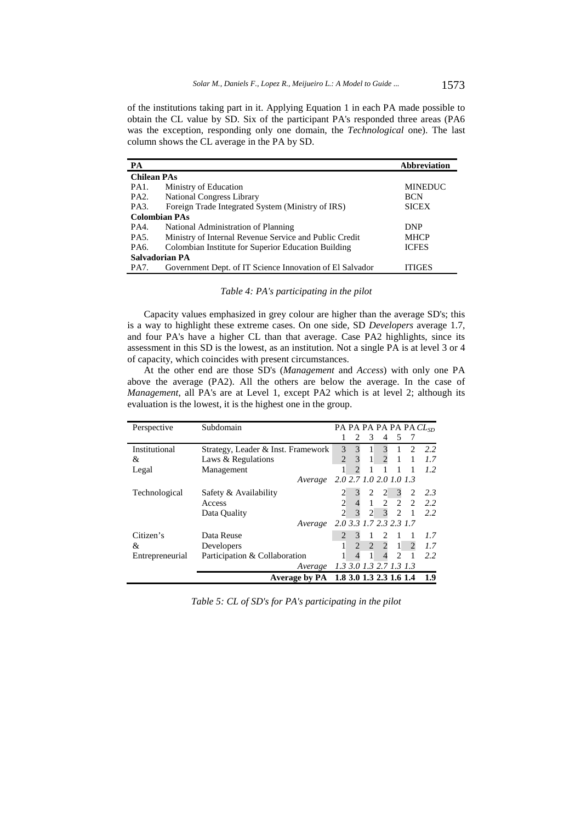of the institutions taking part in it. Applying Equation 1 in each PA made possible to obtain the CL value by SD. Six of the participant PA's responded three areas (PA6 was the exception, responding only one domain, the *Technological* one). The last column shows the CL average in the PA by SD.

| PA                 |                                                          | <b>Abbreviation</b> |
|--------------------|----------------------------------------------------------|---------------------|
| <b>Chilean PAs</b> |                                                          |                     |
| PA1.               | Ministry of Education                                    | <b>MINEDUC</b>      |
| PA <sub>2</sub> .  | <b>National Congress Library</b>                         | <b>BCN</b>          |
| PA3.               | Foreign Trade Integrated System (Ministry of IRS)        | <b>SICEX</b>        |
|                    | <b>Colombian PAs</b>                                     |                     |
| PA4.               | National Administration of Planning                      | <b>DNP</b>          |
| PA5.               | Ministry of Internal Revenue Service and Public Credit   | <b>MHCP</b>         |
| PA6.               | Colombian Institute for Superior Education Building      | <b>ICFES</b>        |
|                    | Salvadorian PA                                           |                     |
| PA7.               | Government Dept. of IT Science Innovation of El Salvador | <b>ITIGES</b>       |

| Table 4: PA's participating in the pilot |  |  |  |  |  |  |
|------------------------------------------|--|--|--|--|--|--|
|------------------------------------------|--|--|--|--|--|--|

Capacity values emphasized in grey colour are higher than the average SD's; this is a way to highlight these extreme cases. On one side, SD *Developers* average 1.7, and four PA's have a higher CL than that average. Case PA2 highlights, since its assessment in this SD is the lowest, as an institution. Not a single PA is at level 3 or 4 of capacity, which coincides with present circumstances.

At the other end are those SD's (*Management* and *Access*) with only one PA above the average (PA2). All the others are below the average. In the case of *Management*, all PA's are at Level 1, except PA2 which is at level 2; although its evaluation is the lowest, it is the highest one in the group.

| Perspective     | Subdomain                             |                |                          |                |                             |                        |                | PA PA PA PA PA PA $CL_{SD}$ |
|-----------------|---------------------------------------|----------------|--------------------------|----------------|-----------------------------|------------------------|----------------|-----------------------------|
|                 |                                       |                | 2                        | 3              | $\overline{4}$              | 5                      |                |                             |
| Institutional   | Strategy, Leader & Inst. Framework    | $\mathcal{F}$  |                          |                | 3                           |                        | $\mathfrak{D}$ | 2.2                         |
| &               | Laws & Regulations                    | $\overline{2}$ |                          | $\mathbf{1}$   | $\overline{2}$              |                        |                | 1.7                         |
| Legal           | Management                            |                |                          |                |                             |                        |                | 1.2                         |
|                 | Average                               |                |                          |                | 2.0 2.7 1.0 2.0 1.0 1.3     |                        |                |                             |
| Technological   | Safety & Availability                 |                |                          | $\overline{2}$ | 2                           | $\mathfrak{Z}$         | <sup>2</sup>   | 2.3                         |
|                 | Access                                | $\overline{c}$ |                          |                | $1 \quad 2 \quad 2 \quad 2$ |                        |                | 2.2                         |
|                 | Data Quality                          | $\mathcal{L}$  | $\overline{\mathcal{E}}$ | $\overline{2}$ |                             | $3 \quad 2 \quad 1$    |                | 2.2                         |
|                 | Average                               |                |                          |                | 2.0 3.3 1.7 2.3 2.3 1.7     |                        |                |                             |
| Citizen's       | Data Reuse                            |                | 3                        |                | 2                           |                        |                | 1.7                         |
| &               | Developers                            |                | $\mathcal{D}_{\alpha}$   | 2              | $\overline{2}$              | $\overline{1}$         | $\overline{c}$ | 1.7                         |
| Entrepreneurial | Participation & Collaboration         |                | 4                        |                |                             | $\mathcal{D}_{\alpha}$ |                | 2.2                         |
|                 | Average                               |                |                          |                | 1.3 3.0 1.3 2.7 1.3 1.3     |                        |                |                             |
|                 | Average by PA 1.8 3.0 1.3 2.3 1.6 1.4 |                |                          |                |                             |                        |                | 1.9                         |

*Table 5: CL of SD's for PA's participating in the pilot*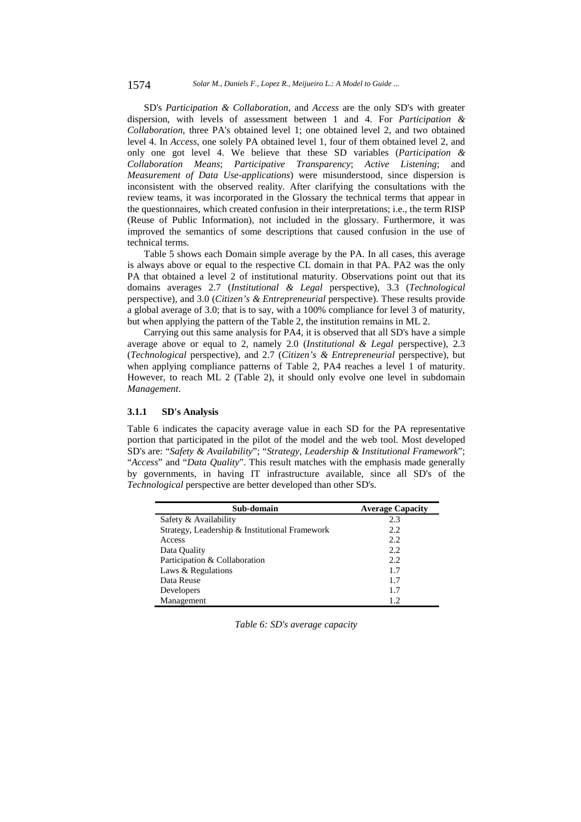SD's *Participation & Collaboration*, and *Access* are the only SD's with greater dispersion, with levels of assessment between 1 and 4. For *Participation & Collaboration*, three PA's obtained level 1; one obtained level 2, and two obtained level 4. In *Access*, one solely PA obtained level 1, four of them obtained level 2, and only one got level 4. We believe that these SD variables (*Participation & Collaboration Means*; *Participative Transparency*; *Active Listening*; and *Measurement of Data Use-applications*) were misunderstood, since dispersion is inconsistent with the observed reality. After clarifying the consultations with the review teams, it was incorporated in the Glossary the technical terms that appear in the questionnaires, which created confusion in their interpretations; i.e., the term RISP (Reuse of Public Information), not included in the glossary. Furthermore, it was improved the semantics of some descriptions that caused confusion in the use of technical terms.

Table 5 shows each Domain simple average by the PA. In all cases, this average is always above or equal to the respective CL domain in that PA. PA2 was the only PA that obtained a level 2 of institutional maturity. Observations point out that its domains averages 2.7 (*Institutional & Legal* perspective), 3.3 (*Technological*  perspective), and 3.0 (*Citizen's & Entrepreneurial* perspective). These results provide a global average of 3.0; that is to say, with a 100% compliance for level 3 of maturity, but when applying the pattern of the Table 2, the institution remains in ML 2.

Carrying out this same analysis for PA4, it is observed that all SD's have a simple average above or equal to 2, namely 2.0 (*Institutional & Legal* perspective), 2.3 (*Technological* perspective), and 2.7 (*Citizen's & Entrepreneurial* perspective), but when applying compliance patterns of Table 2, PA4 reaches a level 1 of maturity. However, to reach ML 2 (Table 2), it should only evolve one level in subdomain *Management*.

## **3.1.1 SD's Analysis**

Table 6 indicates the capacity average value in each SD for the PA representative portion that participated in the pilot of the model and the web tool. Most developed SD's are: "*Safety & Availability*"; "*Strategy, Leadership & Institutional Framework*"; "*Access*" and "*Data Quality*". This result matches with the emphasis made generally by governments, in having IT infrastructure available, since all SD's of the *Technological* perspective are better developed than other SD's.

| Sub-domain                                     | <b>Average Capacity</b> |
|------------------------------------------------|-------------------------|
| Safety & Availability                          | 2.3                     |
| Strategy, Leadership & Institutional Framework | 2.2                     |
| Access                                         | 2.2                     |
| Data Quality                                   | 2.2                     |
| Participation & Collaboration                  | 2.2                     |
| Laws & Regulations                             | 1.7                     |
| Data Reuse                                     | 1.7                     |
| Developers                                     | 1.7                     |
| Management                                     | 1.2.                    |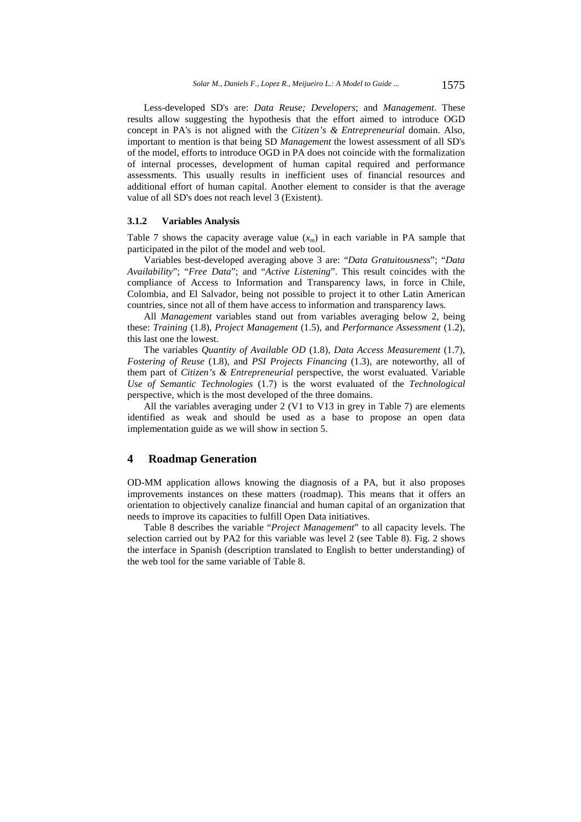Less-developed SD's are: *Data Reuse; Developers*; and *Management*. These results allow suggesting the hypothesis that the effort aimed to introduce OGD concept in PA's is not aligned with the *Citizen's & Entrepreneurial* domain. Also, important to mention is that being SD *Management* the lowest assessment of all SD's of the model, efforts to introduce OGD in PA does not coincide with the formalization of internal processes, development of human capital required and performance assessments. This usually results in inefficient uses of financial resources and additional effort of human capital. Another element to consider is that the average value of all SD's does not reach level 3 (Existent).

### **3.1.2 Variables Analysis**

Table 7 shows the capacity average value  $(x_m)$  in each variable in PA sample that participated in the pilot of the model and web tool.

Variables best-developed averaging above 3 are: "*Data Gratuitousness*"; "*Data Availability*"; "*Free Data*"; and "*Active Listening*". This result coincides with the compliance of Access to Information and Transparency laws, in force in Chile, Colombia, and El Salvador, being not possible to project it to other Latin American countries, since not all of them have access to information and transparency laws.

All *Management* variables stand out from variables averaging below 2, being these: *Training* (1.8), *Project Management* (1.5), and *Performance Assessment* (1.2), this last one the lowest.

The variables *Quantity of Available OD* (1.8), *Data Access Measurement* (1.7), *Fostering of Reuse* (1.8), and *PSI Projects Financing* (1.3), are noteworthy, all of them part of *Citizen's & Entrepreneurial* perspective, the worst evaluated. Variable *Use of Semantic Technologies* (1.7) is the worst evaluated of the *Technological* perspective, which is the most developed of the three domains.

All the variables averaging under 2 (V1 to V13 in grey in Table 7) are elements identified as weak and should be used as a base to propose an open data implementation guide as we will show in section 5.

### **4 Roadmap Generation**

OD-MM application allows knowing the diagnosis of a PA, but it also proposes improvements instances on these matters (roadmap). This means that it offers an orientation to objectively canalize financial and human capital of an organization that needs to improve its capacities to fulfill Open Data initiatives.

Table 8 describes the variable "*Project Management*" to all capacity levels. The selection carried out by PA2 for this variable was level 2 (see Table 8). Fig. 2 shows the interface in Spanish (description translated to English to better understanding) of the web tool for the same variable of Table 8.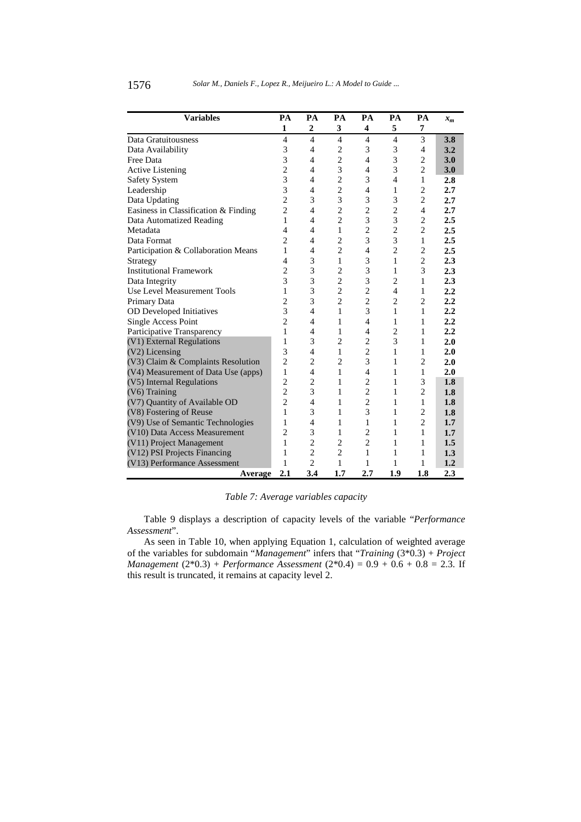| <b>Variables</b>                     | PA             | PA                       | PA             | PA             | PA                       | PA             | $x_{m}$ |
|--------------------------------------|----------------|--------------------------|----------------|----------------|--------------------------|----------------|---------|
|                                      | 1              | $\overline{2}$           | 3              | 4              | 5                        | 7              |         |
| Data Gratuitousness                  | $\overline{4}$ | $\overline{4}$           | $\overline{4}$ | $\overline{4}$ | 4                        | 3              | 3.8     |
| Data Availability                    | 3              | 4                        | 2              | 3              | 3                        | $\overline{4}$ | 3.2     |
| Free Data                            | 3              | $\overline{4}$           | $\overline{c}$ | $\overline{4}$ | 3                        | $\overline{c}$ | 3.0     |
| <b>Active Listening</b>              | $\overline{c}$ | 4                        | 3              | 4              | 3                        | $\overline{c}$ | 3.0     |
| <b>Safety System</b>                 | 3              | $\overline{4}$           | $\overline{c}$ | 3              | $\overline{\mathcal{L}}$ | 1              | 2.8     |
| Leadership                           | 3              | 4                        | $\overline{c}$ | $\overline{4}$ | 1                        | $\overline{c}$ | 2.7     |
| Data Updating                        | $\overline{c}$ | 3                        | 3              | 3              | 3                        | $\overline{c}$ | 2.7     |
| Easiness in Classification & Finding | $\overline{2}$ | $\overline{4}$           | $\overline{c}$ | $\overline{2}$ | $\overline{2}$           | $\overline{4}$ | 2.7     |
| Data Automatized Reading             | 1              | 4                        | $\overline{2}$ | 3              | 3                        | $\overline{c}$ | 2.5     |
| Metadata                             | 4              | 4                        | $\mathbf{1}$   | $\overline{2}$ | $\overline{c}$           | $\overline{c}$ | 2.5     |
| Data Format                          | $\overline{c}$ | 4                        | $\overline{c}$ | 3              | 3                        | 1              | 2.5     |
| Participation & Collaboration Means  | 1              | $\overline{4}$           | $\overline{c}$ | $\overline{4}$ | $\overline{2}$           | $\overline{c}$ | 2.5     |
| Strategy                             | 4              | 3                        | 1              | 3              | 1                        | $\overline{2}$ | 2.3     |
| <b>Institutional Framework</b>       | $\overline{c}$ | 3                        | $\overline{2}$ | 3              | 1                        | 3              | 2.3     |
| Data Integrity                       | 3              | 3                        | $\overline{c}$ | 3              | $\overline{c}$           | 1              | 2.3     |
| Use Level Measurement Tools          | 1              | 3                        | $\overline{2}$ | $\overline{2}$ | $\overline{4}$           | 1              | 2.2     |
| Primary Data                         | 2              | 3                        | $\overline{2}$ | $\overline{c}$ | $\overline{c}$           | $\overline{c}$ | 2.2     |
| OD Developed Initiatives             | 3              | $\overline{4}$           | 1              | 3              | 1                        | 1              | 2.2     |
| Single Access Point                  | $\overline{c}$ | 4                        | 1              | $\overline{4}$ | 1                        | 1              | 2.2     |
| Participative Transparency           | 1              | $\overline{4}$           | 1              | $\overline{4}$ | $\overline{c}$           | 1              | 2.2     |
| (V1) External Regulations            | 1              | 3                        | $\overline{c}$ | $\overline{2}$ | 3                        | 1              | 2.0     |
| (V2) Licensing                       | 3              | $\overline{\mathcal{L}}$ | $\mathbf{1}$   | $\overline{c}$ | 1                        | 1              | 2.0     |
| (V3) Claim & Complaints Resolution   | $\overline{c}$ | $\overline{c}$           | $\overline{2}$ | 3              | 1                        | $\overline{c}$ | 2.0     |
| (V4) Measurement of Data Use (apps)  | 1              | $\overline{4}$           | 1              | $\overline{4}$ | 1                        | 1              | 2.0     |
| (V5) Internal Regulations            | $\overline{c}$ | $\overline{c}$           | 1              | $\overline{c}$ | 1                        | 3              | 1.8     |
| $(V6)$ Training                      | $\overline{2}$ | 3                        | 1              | $\overline{2}$ | 1                        | $\overline{c}$ | 1.8     |
| (V7) Quantity of Available OD        | $\overline{2}$ | 4                        | 1              | $\overline{c}$ | 1                        | 1              | 1.8     |
| (V8) Fostering of Reuse              | 1              | 3                        | 1              | 3              | 1                        | $\overline{c}$ | 1.8     |
| (V9) Use of Semantic Technologies    | 1              | 4                        | 1              | 1              | 1                        | $\overline{c}$ | 1.7     |
| (V10) Data Access Measurement        | $\overline{c}$ | 3                        | 1              | $\overline{c}$ | 1                        | 1              | 1.7     |
| (V11) Project Management             | 1              | $\overline{2}$           | $\overline{2}$ | $\overline{c}$ | 1                        | 1              | 1.5     |
| (V12) PSI Projects Financing         | 1              | $\overline{c}$           | $\overline{2}$ | 1              | 1                        | 1              | 1.3     |
| (V13) Performance Assessment         | 1              | $\overline{c}$           | 1              | 1              | 1                        | 1              | 1.2     |
| Average                              | 2.1            | 3.4                      | 1.7            | 2.7            | 1.9                      | 1.8            | 2.3     |

*Table 7: Average variables capacity* 

Table 9 displays a description of capacity levels of the variable "*Performance Assessment*".

As seen in Table 10, when applying Equation 1, calculation of weighted average of the variables for subdomain "*Management*" infers that "*Training* (3\*0.3) + *Project Management* (2\*0.3) + *Performance Assessment* (2\*0.4) = 0.9 + 0.6 + 0.8 = 2.3. If this result is truncated, it remains at capacity level 2.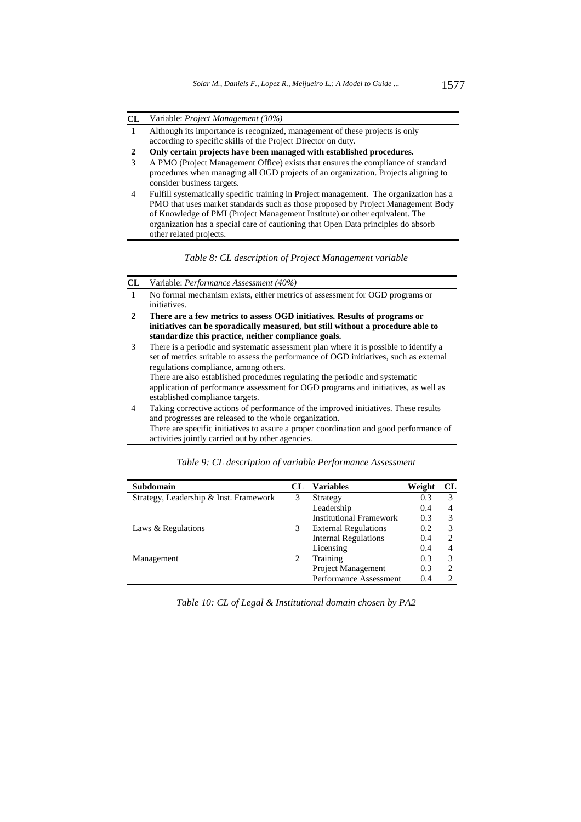### **CL** Variable: *Project Management (30%)*

- 1 Although its importance is recognized, management of these projects is only according to specific skills of the Project Director on duty.
- **2 Only certain projects have been managed with established procedures.**
- 3 A PMO (Project Management Office) exists that ensures the compliance of standard procedures when managing all OGD projects of an organization. Projects aligning to consider business targets.
- 4 Fulfill systematically specific training in Project management. The organization has a PMO that uses market standards such as those proposed by Project Management Body of Knowledge of PMI (Project Management Institute) or other equivalent. The organization has a special care of cautioning that Open Data principles do absorb other related projects.

*Table 8: CL description of Project Management variable* 

## **CL** Variable: *Performance Assessment (40%)*

- 1 No formal mechanism exists, either metrics of assessment for OGD programs or initiatives.
- **2 There are a few metrics to assess OGD initiatives. Results of programs or initiatives can be sporadically measured, but still without a procedure able to standardize this practice, neither compliance goals.**
- 3 There is a periodic and systematic assessment plan where it is possible to identify a set of metrics suitable to assess the performance of OGD initiatives, such as external regulations compliance, among others. There are also established procedures regulating the periodic and systematic application of performance assessment for OGD programs and initiatives, as well as established compliance targets. 4 Taking corrective actions of performance of the improved initiatives. These results and progresses are released to the whole organization. There are specific initiatives to assure a proper coordination and good performance of
	- activities jointly carried out by other agencies.

| Subdomain                              | CL | <b>Variables</b>                   | Weight | CL |
|----------------------------------------|----|------------------------------------|--------|----|
| Strategy, Leadership & Inst. Framework | 3  | Strategy                           | 0.3    | 3  |
|                                        |    | Leadership                         | 0.4    | 4  |
|                                        |    | <b>Institutional Framework</b>     | 0.3    | 3  |
| Laws & Regulations                     |    | <b>External Regulations</b><br>0.2 |        | 3  |
|                                        |    | <b>Internal Regulations</b>        | 0.4    | 2  |
|                                        |    | Licensing                          | 0.4    | 4  |
| Management                             |    | Training<br>0.3                    |        | 3  |
|                                        |    | <b>Project Management</b>          | 0.3    | 2  |
|                                        |    | Performance Assessment             | 0.4    |    |

*Table 9: CL description of variable Performance Assessment* 

*Table 10: CL of Legal & Institutional domain chosen by PA2*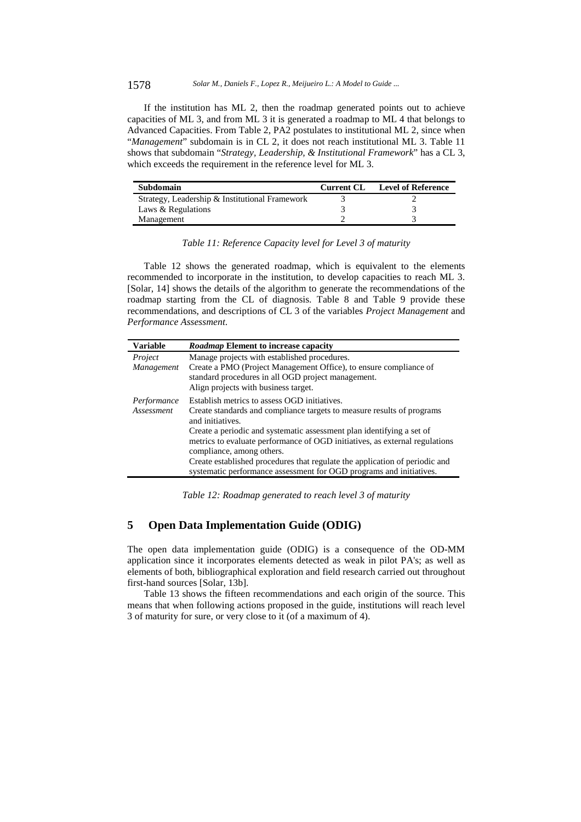1578 *Solar M., Daniels F., Lopez R., Meijueiro L.: A Model to Guide ...*

If the institution has ML 2, then the roadmap generated points out to achieve capacities of ML 3, and from ML 3 it is generated a roadmap to ML 4 that belongs to Advanced Capacities. From Table 2, PA2 postulates to institutional ML 2, since when "*Management*" subdomain is in CL 2, it does not reach institutional ML 3. Table 11 shows that subdomain "*Strategy, Leadership, & Institutional Framework*" has a CL 3, which exceeds the requirement in the reference level for ML 3.

| Subdomain                                      | <b>Current CL</b> | <b>Level of Reference</b> |
|------------------------------------------------|-------------------|---------------------------|
| Strategy, Leadership & Institutional Framework |                   |                           |
| Laws & Regulations                             |                   |                           |
| Management                                     |                   |                           |

### *Table 11: Reference Capacity level for Level 3 of maturity*

Table 12 shows the generated roadmap, which is equivalent to the elements recommended to incorporate in the institution, to develop capacities to reach ML 3. [Solar, 14] shows the details of the algorithm to generate the recommendations of the roadmap starting from the CL of diagnosis. Table 8 and Table 9 provide these recommendations, and descriptions of CL 3 of the variables *Project Management* and *Performance Assessment*.

| <b>Variable</b> | Roadmap Element to increase capacity                                                                     |
|-----------------|----------------------------------------------------------------------------------------------------------|
| Project         | Manage projects with established procedures.                                                             |
| Management      | Create a PMO (Project Management Office), to ensure compliance of                                        |
|                 | standard procedures in all OGD project management.                                                       |
|                 | Align projects with business target.                                                                     |
| Performance     | Establish metrics to assess OGD initiatives.                                                             |
| Assessment      | Create standards and compliance targets to measure results of programs<br>and initiatives.               |
|                 | Create a periodic and systematic assessment plan identifying a set of                                    |
|                 | metrics to evaluate performance of OGD initiatives, as external regulations<br>compliance, among others. |
|                 | Create established procedures that regulate the application of periodic and                              |
|                 | systematic performance assessment for OGD programs and initiatives.                                      |

*Table 12: Roadmap generated to reach level 3 of maturity* 

## **5 Open Data Implementation Guide (ODIG)**

The open data implementation guide (ODIG) is a consequence of the OD-MM application since it incorporates elements detected as weak in pilot PA's; as well as elements of both, bibliographical exploration and field research carried out throughout first-hand sources [Solar, 13b].

Table 13 shows the fifteen recommendations and each origin of the source. This means that when following actions proposed in the guide, institutions will reach level 3 of maturity for sure, or very close to it (of a maximum of 4).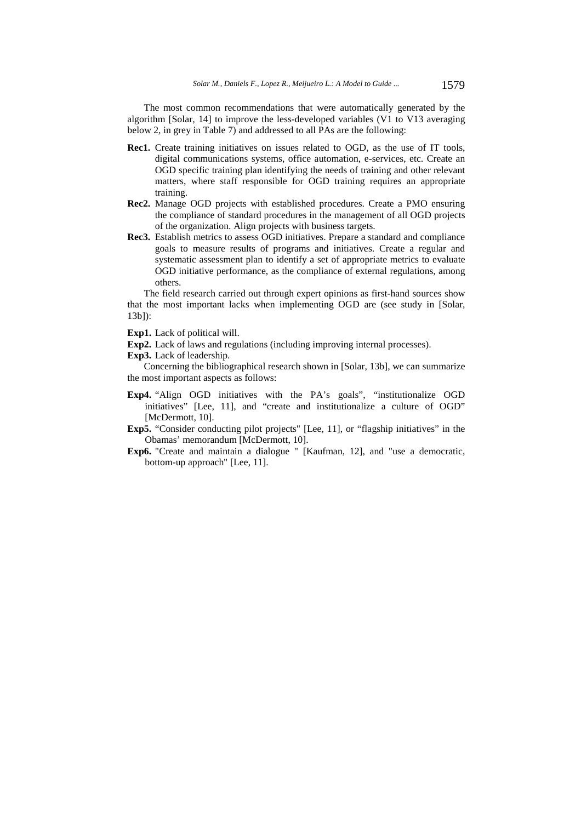The most common recommendations that were automatically generated by the algorithm [Solar, 14] to improve the less-developed variables (V1 to V13 averaging below 2, in grey in Table 7) and addressed to all PAs are the following:

- **Rec1.** Create training initiatives on issues related to OGD, as the use of IT tools, digital communications systems, office automation, e-services, etc. Create an OGD specific training plan identifying the needs of training and other relevant matters, where staff responsible for OGD training requires an appropriate training.
- **Rec2.** Manage OGD projects with established procedures. Create a PMO ensuring the compliance of standard procedures in the management of all OGD projects of the organization. Align projects with business targets.
- **Rec3.** Establish metrics to assess OGD initiatives. Prepare a standard and compliance goals to measure results of programs and initiatives. Create a regular and systematic assessment plan to identify a set of appropriate metrics to evaluate OGD initiative performance, as the compliance of external regulations, among others.

The field research carried out through expert opinions as first-hand sources show that the most important lacks when implementing OGD are (see study in [Solar, 13b]):

**Exp1.** Lack of political will.

- **Exp2.** Lack of laws and regulations (including improving internal processes).
- **Exp3.** Lack of leadership.

Concerning the bibliographical research shown in [Solar, 13b], we can summarize the most important aspects as follows:

- **Exp4.** "Align OGD initiatives with the PA's goals", "institutionalize OGD initiatives" [Lee, 11], and "create and institutionalize a culture of OGD" [McDermott, 10].
- **Exp5.** "Consider conducting pilot projects" [Lee, 11], or "flagship initiatives" in the Obamas' memorandum [McDermott, 10].
- **Exp6.** "Create and maintain a dialogue " [Kaufman, 12], and "use a democratic, bottom-up approach" [Lee, 11].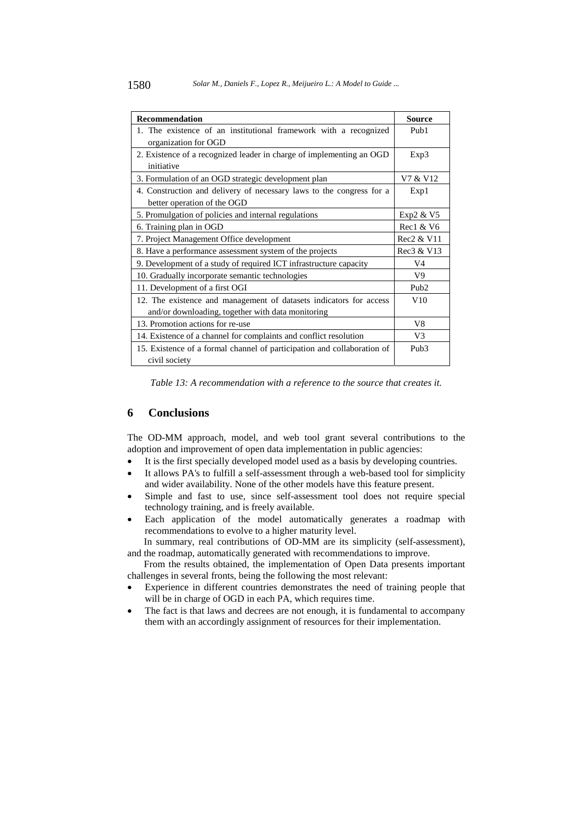| <b>Recommendation</b>                                                   | <b>Source</b>    |
|-------------------------------------------------------------------------|------------------|
| 1. The existence of an institutional framework with a recognized        | Pub <sub>1</sub> |
| organization for OGD                                                    |                  |
| 2. Existence of a recognized leader in charge of implementing an OGD    | Exp3             |
| initiative                                                              |                  |
| 3. Formulation of an OGD strategic development plan                     | V7 & V12         |
| 4. Construction and delivery of necessary laws to the congress for a    | Exp1             |
| better operation of the OGD                                             |                  |
| 5. Promulgation of policies and internal regulations                    | Exp2 & V5        |
| 6. Training plan in OGD                                                 | Rec1 & V6        |
| 7. Project Management Office development                                | Rec2 & V11       |
| 8. Have a performance assessment system of the projects                 | Rec3 & V13       |
| 9. Development of a study of required ICT infrastructure capacity       | V4               |
| 10. Gradually incorporate semantic technologies                         | V <sub>9</sub>   |
| 11. Development of a first OGI                                          | Pub <sub>2</sub> |
| 12. The existence and management of datasets indicators for access      | V10              |
| and/or downloading, together with data monitoring                       |                  |
| 13. Promotion actions for re-use                                        | V8               |
| 14. Existence of a channel for complaints and conflict resolution       | V <sub>3</sub>   |
| 15. Existence of a formal channel of participation and collaboration of | Pub <sub>3</sub> |
| civil society                                                           |                  |

*Table 13: A recommendation with a reference to the source that creates it.* 

## **6 Conclusions**

The OD-MM approach, model, and web tool grant several contributions to the adoption and improvement of open data implementation in public agencies:

- It is the first specially developed model used as a basis by developing countries.
- It allows PA's to fulfill a self-assessment through a web-based tool for simplicity and wider availability. None of the other models have this feature present.
- Simple and fast to use, since self-assessment tool does not require special technology training, and is freely available.
- Each application of the model automatically generates a roadmap with recommendations to evolve to a higher maturity level.

In summary, real contributions of OD-MM are its simplicity (self-assessment), and the roadmap, automatically generated with recommendations to improve.

From the results obtained, the implementation of Open Data presents important challenges in several fronts, being the following the most relevant:

- Experience in different countries demonstrates the need of training people that will be in charge of OGD in each PA, which requires time.
- The fact is that laws and decrees are not enough, it is fundamental to accompany them with an accordingly assignment of resources for their implementation.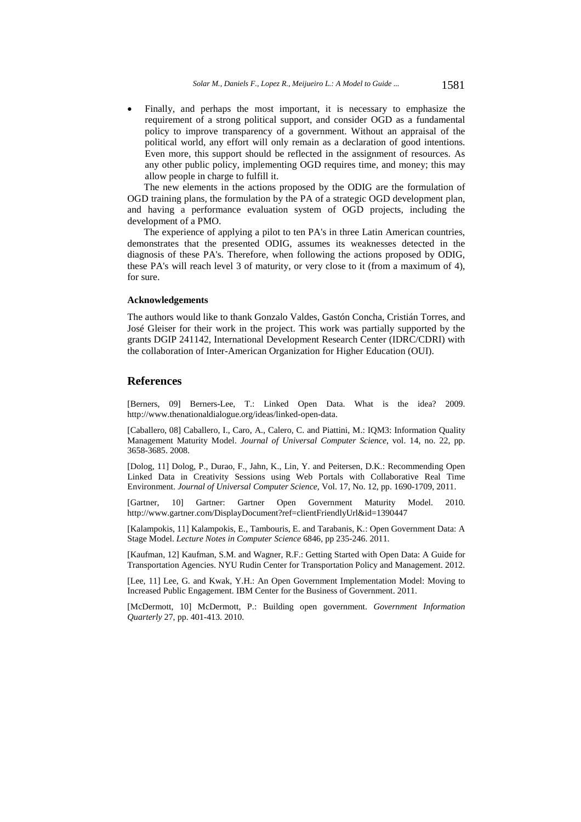Finally, and perhaps the most important, it is necessary to emphasize the requirement of a strong political support, and consider OGD as a fundamental policy to improve transparency of a government. Without an appraisal of the political world, any effort will only remain as a declaration of good intentions. Even more, this support should be reflected in the assignment of resources. As any other public policy, implementing OGD requires time, and money; this may allow people in charge to fulfill it.

The new elements in the actions proposed by the ODIG are the formulation of OGD training plans, the formulation by the PA of a strategic OGD development plan, and having a performance evaluation system of OGD projects, including the development of a PMO.

The experience of applying a pilot to ten PA's in three Latin American countries, demonstrates that the presented ODIG, assumes its weaknesses detected in the diagnosis of these PA's. Therefore, when following the actions proposed by ODIG, these PA's will reach level 3 of maturity, or very close to it (from a maximum of 4), for sure.

#### **Acknowledgements**

The authors would like to thank Gonzalo Valdes, Gastón Concha, Cristián Torres, and José Gleiser for their work in the project. This work was partially supported by the grants DGIP 241142, International Development Research Center (IDRC/CDRI) with the collaboration of Inter-American Organization for Higher Education (OUI).

## **References**

[Berners, 09] Berners-Lee, T.: Linked Open Data. What is the idea? 2009. http://www.thenationaldialogue.org/ideas/linked-open-data.

[Caballero, 08] Caballero, I., Caro, A., Calero, C. and Piattini, M.: IQM3: Information Quality Management Maturity Model. *Journal of Universal Computer Science*, vol. 14, no. 22, pp. 3658-3685. 2008.

[Dolog, 11] Dolog, P., Durao, F., Jahn, K., Lin, Y. and Peitersen, D.K.: Recommending Open Linked Data in Creativity Sessions using Web Portals with Collaborative Real Time Environment. *Journal of Universal Computer Science*, Vol. 17, No. 12, pp. 1690-1709, 2011.

[Gartner, 10] Gartner: Gartner Open Government Maturity Model. 2010. http://www.gartner.com/DisplayDocument?ref=clientFriendlyUrl&id=1390447

[Kalampokis, 11] Kalampokis, E., Tambouris, E. and Tarabanis, K.: Open Government Data: A Stage Model. *Lecture Notes in Computer Science* 6846, pp 235-246. 2011.

[Kaufman, 12] Kaufman, S.M. and Wagner, R.F.: Getting Started with Open Data: A Guide for Transportation Agencies. NYU Rudin Center for Transportation Policy and Management. 2012.

[Lee, 11] Lee, G. and Kwak, Y.H.: An Open Government Implementation Model: Moving to Increased Public Engagement. IBM Center for the Business of Government. 2011.

[McDermott, 10] McDermott, P.: Building open government. *Government Information Quarterly* 27, pp. 401-413. 2010.